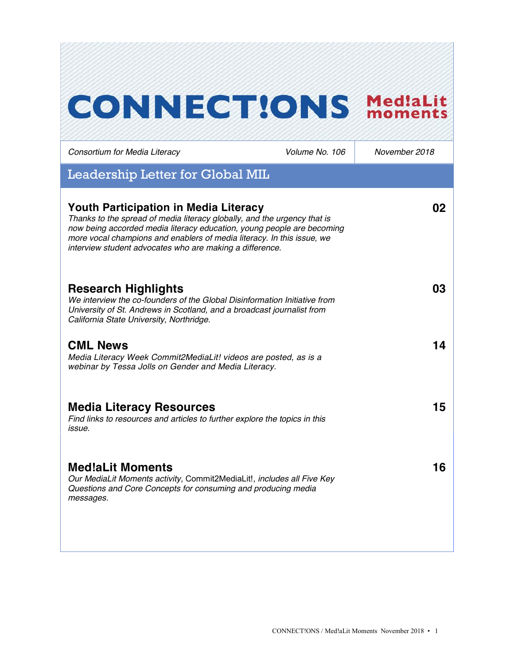# **CONNECT!ONS Med!aLit**

*Consortium for Media Literacy Volume No. 106 November 2018*

| Leadership Letter for Global MIL                                                                                                                                                                                                                                                                                                         |    |
|------------------------------------------------------------------------------------------------------------------------------------------------------------------------------------------------------------------------------------------------------------------------------------------------------------------------------------------|----|
| <b>Youth Participation in Media Literacy</b><br>Thanks to the spread of media literacy globally, and the urgency that is<br>now being accorded media literacy education, young people are becoming<br>more vocal champions and enablers of media literacy. In this issue, we<br>interview student advocates who are making a difference. | 02 |
| <b>Research Highlights</b><br>We interview the co-founders of the Global Disinformation Initiative from<br>University of St. Andrews in Scotland, and a broadcast journalist from<br>California State University, Northridge.                                                                                                            | 03 |
| <b>CML News</b><br>Media Literacy Week Commit2MediaLit! videos are posted, as is a<br>webinar by Tessa Jolls on Gender and Media Literacy.                                                                                                                                                                                               | 14 |
| <b>Media Literacy Resources</b><br>Find links to resources and articles to further explore the topics in this<br>issue.                                                                                                                                                                                                                  | 15 |
| <b>Med!aLit Moments</b><br>Our MediaLit Moments activity, Commit2MediaLit!, includes all Five Key<br>Questions and Core Concepts for consuming and producing media<br>messages.                                                                                                                                                          | 16 |
|                                                                                                                                                                                                                                                                                                                                          |    |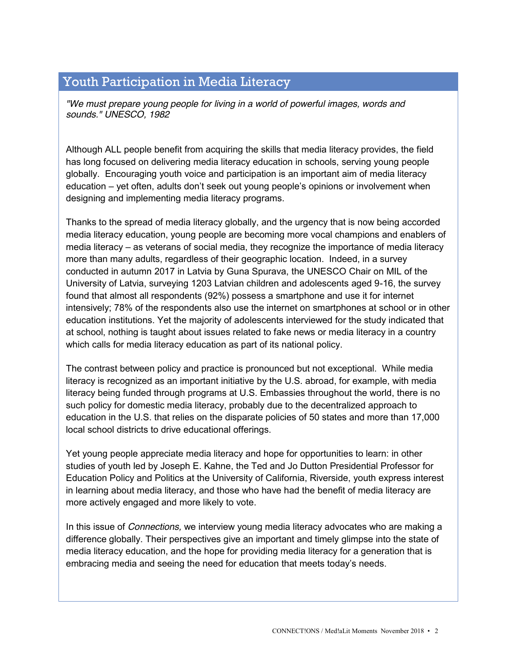# Youth Participation in Media Literacy

*"We must prepare young people for living in a world of powerful images, words and sounds." UNESCO, 1982*

Although ALL people benefit from acquiring the skills that media literacy provides, the field has long focused on delivering media literacy education in schools, serving young people globally. Encouraging youth voice and participation is an important aim of media literacy education – yet often, adults don't seek out young people's opinions or involvement when designing and implementing media literacy programs.

Thanks to the spread of media literacy globally, and the urgency that is now being accorded media literacy education, young people are becoming more vocal champions and enablers of media literacy – as veterans of social media, they recognize the importance of media literacy more than many adults, regardless of their geographic location. Indeed, in a survey conducted in autumn 2017 in Latvia by Guna Spurava, the UNESCO Chair on MIL of the University of Latvia, surveying 1203 Latvian children and adolescents aged 9-16, the survey found that almost all respondents (92%) possess a smartphone and use it for internet intensively; 78% of the respondents also use the internet on smartphones at school or in other education institutions. Yet the majority of adolescents interviewed for the study indicated that at school, nothing is taught about issues related to fake news or media literacy in a country which calls for media literacy education as part of its national policy.

The contrast between policy and practice is pronounced but not exceptional. While media literacy is recognized as an important initiative by the U.S. abroad, for example, with media literacy being funded through programs at U.S. Embassies throughout the world, there is no such policy for domestic media literacy, probably due to the decentralized approach to education in the U.S. that relies on the disparate policies of 50 states and more than 17,000 local school districts to drive educational offerings.

Yet young people appreciate media literacy and hope for opportunities to learn: in other studies of youth led by Joseph E. Kahne, the Ted and Jo Dutton Presidential Professor for Education Policy and Politics at the University of California, Riverside, youth express interest in learning about media literacy, and those who have had the benefit of media literacy are more actively engaged and more likely to vote.

In this issue of *Connections,* we interview young media literacy advocates who are making a difference globally. Their perspectives give an important and timely glimpse into the state of media literacy education, and the hope for providing media literacy for a generation that is embracing media and seeing the need for education that meets today's needs.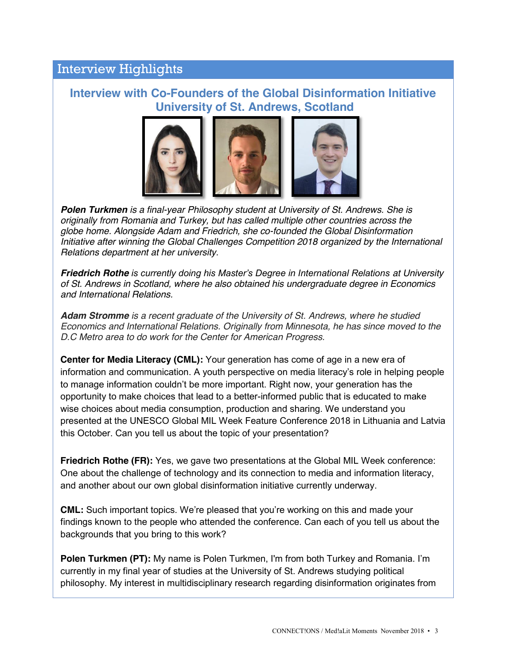# Interview Highlights

### **Interview with Co-Founders of the Global Disinformation Initiative University of St. Andrews, Scotland**



*Polen Turkmen is a final-year Philosophy student at University of St. Andrews. She is originally from Romania and Turkey, but has called multiple other countries across the globe home. Alongside Adam and Friedrich, she co-founded the Global Disinformation Initiative after winning the Global Challenges Competition 2018 organized by the International Relations department at her university.* 

*Friedrich Rothe is currently doing his Master's Degree in International Relations at University of St. Andrews in Scotland, where he also obtained his undergraduate degree in Economics and International Relations.*

*Adam Stromme is a recent graduate of the University of St. Andrews, where he studied Economics and International Relations. Originally from Minnesota, he has since moved to the D.C Metro area to do work for the Center for American Progress.* 

**Center for Media Literacy (CML):** Your generation has come of age in a new era of information and communication. A youth perspective on media literacy's role in helping people to manage information couldn't be more important. Right now, your generation has the opportunity to make choices that lead to a better-informed public that is educated to make wise choices about media consumption, production and sharing. We understand you presented at the UNESCO Global MIL Week Feature Conference 2018 in Lithuania and Latvia this October. Can you tell us about the topic of your presentation?

**Friedrich Rothe (FR):** Yes, we gave two presentations at the Global MIL Week conference: One about the challenge of technology and its connection to media and information literacy, and another about our own global disinformation initiative currently underway.

**CML:** Such important topics. We're pleased that you're working on this and made your findings known to the people who attended the conference. Can each of you tell us about the backgrounds that you bring to this work?

**Polen Turkmen (PT):** My name is Polen Turkmen, I'm from both Turkey and Romania. I'm currently in my final year of studies at the University of St. Andrews studying political philosophy. My interest in multidisciplinary research regarding disinformation originates from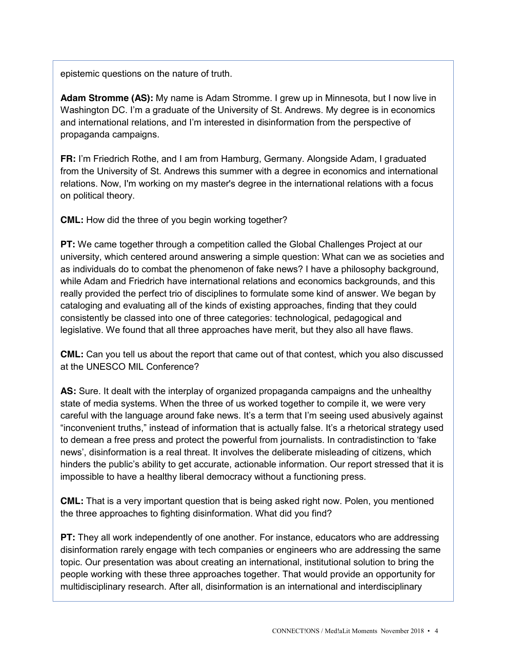epistemic questions on the nature of truth.

**Adam Stromme (AS):** My name is Adam Stromme. I grew up in Minnesota, but I now live in Washington DC. I'm a graduate of the University of St. Andrews. My degree is in economics and international relations, and I'm interested in disinformation from the perspective of propaganda campaigns.

**FR:** I'm Friedrich Rothe, and I am from Hamburg, Germany. Alongside Adam, I graduated from the University of St. Andrews this summer with a degree in economics and international relations. Now, I'm working on my master's degree in the international relations with a focus on political theory.

**CML:** How did the three of you begin working together?

**PT:** We came together through a competition called the Global Challenges Project at our university, which centered around answering a simple question: What can we as societies and as individuals do to combat the phenomenon of fake news? I have a philosophy background, while Adam and Friedrich have international relations and economics backgrounds, and this really provided the perfect trio of disciplines to formulate some kind of answer. We began by cataloging and evaluating all of the kinds of existing approaches, finding that they could consistently be classed into one of three categories: technological, pedagogical and legislative. We found that all three approaches have merit, but they also all have flaws.

**CML:** Can you tell us about the report that came out of that contest, which you also discussed at the UNESCO MIL Conference?

**AS:** Sure. It dealt with the interplay of organized propaganda campaigns and the unhealthy state of media systems. When the three of us worked together to compile it, we were very careful with the language around fake news. It's a term that I'm seeing used abusively against "inconvenient truths," instead of information that is actually false. It's a rhetorical strategy used to demean a free press and protect the powerful from journalists. In contradistinction to 'fake news', disinformation is a real threat. It involves the deliberate misleading of citizens, which hinders the public's ability to get accurate, actionable information. Our report stressed that it is impossible to have a healthy liberal democracy without a functioning press.

**CML:** That is a very important question that is being asked right now. Polen, you mentioned the three approaches to fighting disinformation. What did you find?

**PT:** They all work independently of one another. For instance, educators who are addressing disinformation rarely engage with tech companies or engineers who are addressing the same topic. Our presentation was about creating an international, institutional solution to bring the people working with these three approaches together. That would provide an opportunity for multidisciplinary research. After all, disinformation is an international and interdisciplinary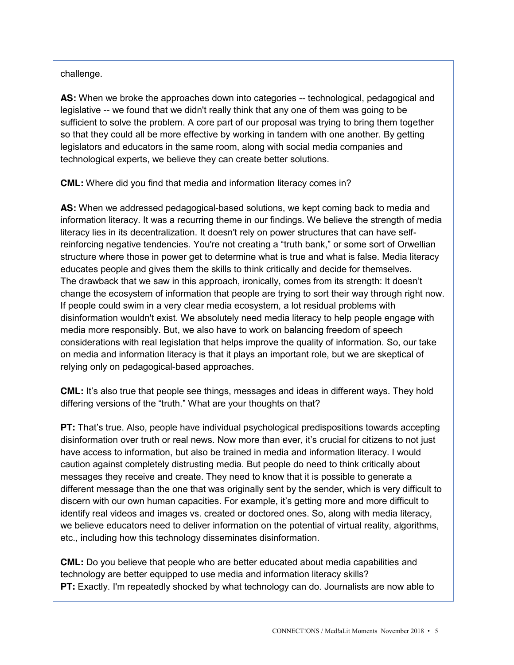#### challenge.

AS: When we broke the approaches down into categories -- technological, pedagogical and legislative -- we found that we didn't really think that any one of them was going to be sufficient to solve the problem. A core part of our proposal was trying to bring them together so that they could all be more effective by working in tandem with one another. By getting legislators and educators in the same room, along with social media companies and technological experts, we believe they can create better solutions.

**CML:** Where did you find that media and information literacy comes in?

**AS:** When we addressed pedagogical-based solutions, we kept coming back to media and information literacy. It was a recurring theme in our findings. We believe the strength of media literacy lies in its decentralization. It doesn't rely on power structures that can have selfreinforcing negative tendencies. You're not creating a "truth bank," or some sort of Orwellian structure where those in power get to determine what is true and what is false. Media literacy educates people and gives them the skills to think critically and decide for themselves. The drawback that we saw in this approach, ironically, comes from its strength: It doesn't change the ecosystem of information that people are trying to sort their way through right now. If people could swim in a very clear media ecosystem, a lot residual problems with disinformation wouldn't exist. We absolutely need media literacy to help people engage with media more responsibly. But, we also have to work on balancing freedom of speech considerations with real legislation that helps improve the quality of information. So, our take on media and information literacy is that it plays an important role, but we are skeptical of relying only on pedagogical-based approaches.

**CML:** It's also true that people see things, messages and ideas in different ways. They hold differing versions of the "truth." What are your thoughts on that?

**PT:** That's true. Also, people have individual psychological predispositions towards accepting disinformation over truth or real news. Now more than ever, it's crucial for citizens to not just have access to information, but also be trained in media and information literacy. I would caution against completely distrusting media. But people do need to think critically about messages they receive and create. They need to know that it is possible to generate a different message than the one that was originally sent by the sender, which is very difficult to discern with our own human capacities. For example, it's getting more and more difficult to identify real videos and images vs. created or doctored ones. So, along with media literacy, we believe educators need to deliver information on the potential of virtual reality, algorithms, etc., including how this technology disseminates disinformation.

**CML:** Do you believe that people who are better educated about media capabilities and technology are better equipped to use media and information literacy skills? **PT:** Exactly. I'm repeatedly shocked by what technology can do. Journalists are now able to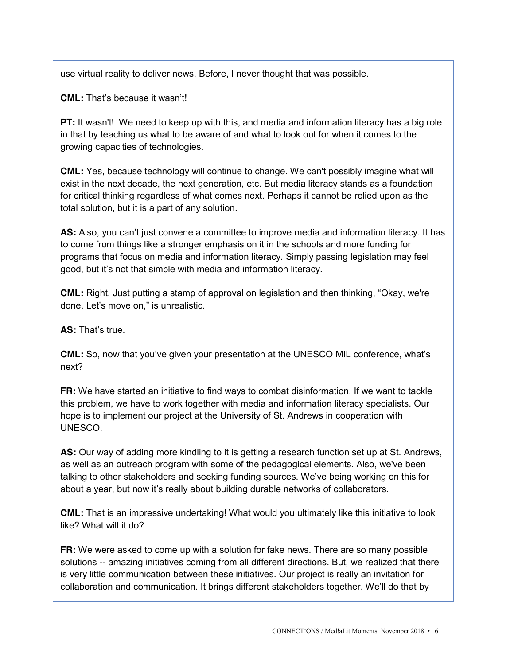use virtual reality to deliver news. Before, I never thought that was possible.

**CML:** That's because it wasn't!

**PT:** It wasn't! We need to keep up with this, and media and information literacy has a big role in that by teaching us what to be aware of and what to look out for when it comes to the growing capacities of technologies.

**CML:** Yes, because technology will continue to change. We can't possibly imagine what will exist in the next decade, the next generation, etc. But media literacy stands as a foundation for critical thinking regardless of what comes next. Perhaps it cannot be relied upon as the total solution, but it is a part of any solution.

**AS:** Also, you can't just convene a committee to improve media and information literacy. It has to come from things like a stronger emphasis on it in the schools and more funding for programs that focus on media and information literacy. Simply passing legislation may feel good, but it's not that simple with media and information literacy.

**CML:** Right. Just putting a stamp of approval on legislation and then thinking, "Okay, we're done. Let's move on," is unrealistic.

**AS:** That's true.

**CML:** So, now that you've given your presentation at the UNESCO MIL conference, what's next?

**FR:** We have started an initiative to find ways to combat disinformation. If we want to tackle this problem, we have to work together with media and information literacy specialists. Our hope is to implement our project at the University of St. Andrews in cooperation with UNESCO.

**AS:** Our way of adding more kindling to it is getting a research function set up at St. Andrews, as well as an outreach program with some of the pedagogical elements. Also, we've been talking to other stakeholders and seeking funding sources. We've being working on this for about a year, but now it's really about building durable networks of collaborators.

**CML:** That is an impressive undertaking! What would you ultimately like this initiative to look like? What will it do?

**FR:** We were asked to come up with a solution for fake news. There are so many possible solutions -- amazing initiatives coming from all different directions. But, we realized that there is very little communication between these initiatives. Our project is really an invitation for collaboration and communication. It brings different stakeholders together. We'll do that by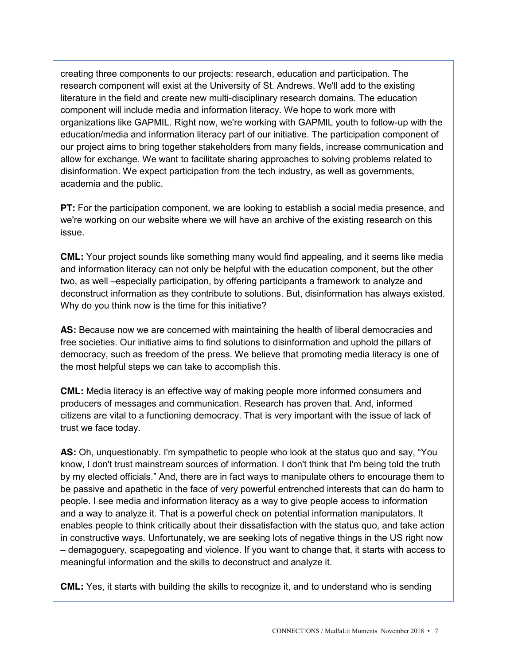creating three components to our projects: research, education and participation. The research component will exist at the University of St. Andrews. We'll add to the existing literature in the field and create new multi-disciplinary research domains. The education component will include media and information literacy. We hope to work more with organizations like GAPMIL. Right now, we're working with GAPMIL youth to follow-up with the education/media and information literacy part of our initiative. The participation component of our project aims to bring together stakeholders from many fields, increase communication and allow for exchange. We want to facilitate sharing approaches to solving problems related to disinformation. We expect participation from the tech industry, as well as governments, academia and the public.

**PT:** For the participation component, we are looking to establish a social media presence, and we're working on our website where we will have an archive of the existing research on this issue.

**CML:** Your project sounds like something many would find appealing, and it seems like media and information literacy can not only be helpful with the education component, but the other two, as well –especially participation, by offering participants a framework to analyze and deconstruct information as they contribute to solutions. But, disinformation has always existed. Why do you think now is the time for this initiative?

**AS:** Because now we are concerned with maintaining the health of liberal democracies and free societies. Our initiative aims to find solutions to disinformation and uphold the pillars of democracy, such as freedom of the press. We believe that promoting media literacy is one of the most helpful steps we can take to accomplish this.

**CML:** Media literacy is an effective way of making people more informed consumers and producers of messages and communication. Research has proven that. And, informed citizens are vital to a functioning democracy. That is very important with the issue of lack of trust we face today.

**AS:** Oh, unquestionably. I'm sympathetic to people who look at the status quo and say, "You know, I don't trust mainstream sources of information. I don't think that I'm being told the truth by my elected officials." And, there are in fact ways to manipulate others to encourage them to be passive and apathetic in the face of very powerful entrenched interests that can do harm to people. I see media and information literacy as a way to give people access to information and a way to analyze it. That is a powerful check on potential information manipulators. It enables people to think critically about their dissatisfaction with the status quo, and take action in constructive ways. Unfortunately, we are seeking lots of negative things in the US right now – demagoguery, scapegoating and violence. If you want to change that, it starts with access to meaningful information and the skills to deconstruct and analyze it.

**CML:** Yes, it starts with building the skills to recognize it, and to understand who is sending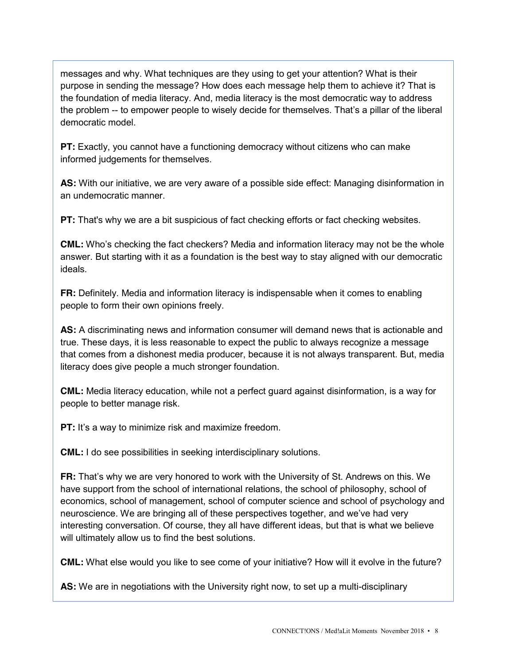messages and why. What techniques are they using to get your attention? What is their purpose in sending the message? How does each message help them to achieve it? That is the foundation of media literacy. And, media literacy is the most democratic way to address the problem -- to empower people to wisely decide for themselves. That's a pillar of the liberal democratic model.

**PT:** Exactly, you cannot have a functioning democracy without citizens who can make informed judgements for themselves.

**AS:** With our initiative, we are very aware of a possible side effect: Managing disinformation in an undemocratic manner.

**PT:** That's why we are a bit suspicious of fact checking efforts or fact checking websites.

**CML:** Who's checking the fact checkers? Media and information literacy may not be the whole answer. But starting with it as a foundation is the best way to stay aligned with our democratic ideals.

**FR:** Definitely. Media and information literacy is indispensable when it comes to enabling people to form their own opinions freely.

**AS:** A discriminating news and information consumer will demand news that is actionable and true. These days, it is less reasonable to expect the public to always recognize a message that comes from a dishonest media producer, because it is not always transparent. But, media literacy does give people a much stronger foundation.

**CML:** Media literacy education, while not a perfect guard against disinformation, is a way for people to better manage risk.

**PT:** It's a way to minimize risk and maximize freedom.

**CML:** I do see possibilities in seeking interdisciplinary solutions.

**FR:** That's why we are very honored to work with the University of St. Andrews on this. We have support from the school of international relations, the school of philosophy, school of economics, school of management, school of computer science and school of psychology and neuroscience. We are bringing all of these perspectives together, and we've had very interesting conversation. Of course, they all have different ideas, but that is what we believe will ultimately allow us to find the best solutions.

**CML:** What else would you like to see come of your initiative? How will it evolve in the future?

**AS:** We are in negotiations with the University right now, to set up a multi-disciplinary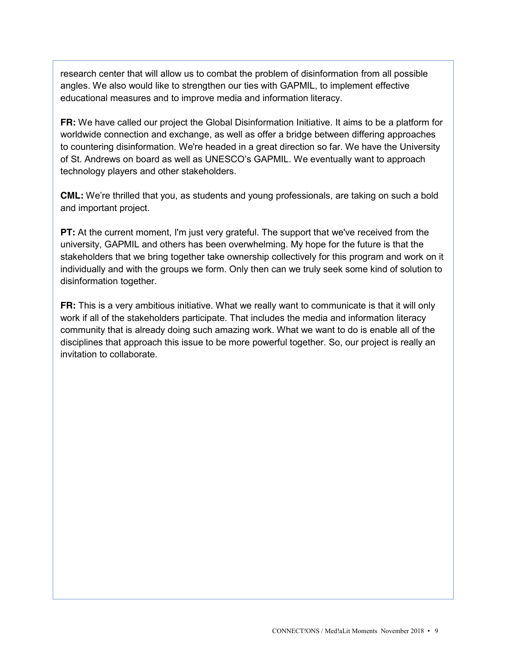research center that will allow us to combat the problem of disinformation from all possible angles. We also would like to strengthen our ties with GAPMIL, to implement effective educational measures and to improve media and information literacy.

**FR:** We have called our project the Global Disinformation Initiative. It aims to be a platform for worldwide connection and exchange, as well as offer a bridge between differing approaches to countering disinformation. We're headed in a great direction so far. We have the University of St. Andrews on board as well as UNESCO's GAPMIL. We eventually want to approach technology players and other stakeholders.

**CML:** We're thrilled that you, as students and young professionals, are taking on such a bold and important project.

**PT:** At the current moment, I'm just very grateful. The support that we've received from the university, GAPMIL and others has been overwhelming. My hope for the future is that the stakeholders that we bring together take ownership collectively for this program and work on it individually and with the groups we form. Only then can we truly seek some kind of solution to disinformation together.

**FR:** This is a very ambitious initiative. What we really want to communicate is that it will only work if all of the stakeholders participate. That includes the media and information literacy community that is already doing such amazing work. What we want to do is enable all of the disciplines that approach this issue to be more powerful together. So, our project is really an invitation to collaborate.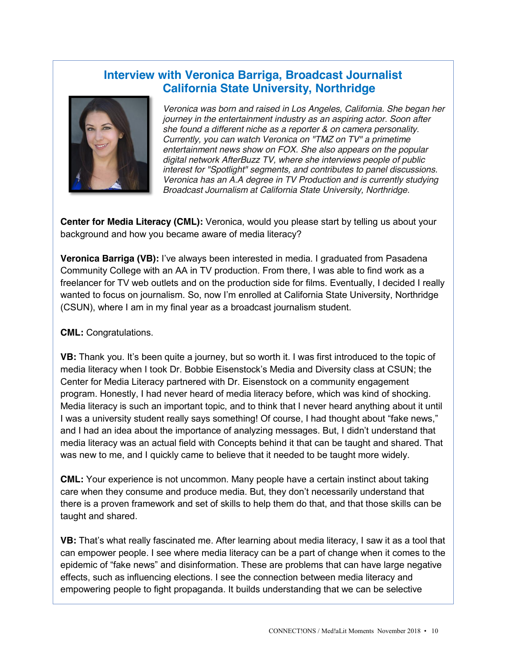# **Interview with Veronica Barriga, Broadcast Journalist California State University, Northridge**



*Veronica was born and raised in Los Angeles, California. She began her journey in the entertainment industry as an aspiring actor. Soon after she found a different niche as a reporter & on camera personality. Currently, you can watch Veronica on "TMZ on TV" a primetime entertainment news show on FOX. She also appears on the popular digital network AfterBuzz TV, where she interviews people of public interest for "Spotlight" segments, and contributes to panel discussions. Veronica has an A.A degree in TV Production and is currently studying Broadcast Journalism at California State University, Northridge.*

**Center for Media Literacy (CML):** Veronica, would you please start by telling us about your background and how you became aware of media literacy?

**Veronica Barriga (VB):** I've always been interested in media. I graduated from Pasadena Community College with an AA in TV production. From there, I was able to find work as a freelancer for TV web outlets and on the production side for films. Eventually, I decided I really wanted to focus on journalism. So, now I'm enrolled at California State University, Northridge (CSUN), where I am in my final year as a broadcast journalism student.

**CML:** Congratulations.

**VB:** Thank you. It's been quite a journey, but so worth it. I was first introduced to the topic of media literacy when I took Dr. Bobbie Eisenstock's Media and Diversity class at CSUN; the Center for Media Literacy partnered with Dr. Eisenstock on a community engagement program. Honestly, I had never heard of media literacy before, which was kind of shocking. Media literacy is such an important topic, and to think that I never heard anything about it until I was a university student really says something! Of course, I had thought about "fake news," and I had an idea about the importance of analyzing messages. But, I didn't understand that media literacy was an actual field with Concepts behind it that can be taught and shared. That was new to me, and I quickly came to believe that it needed to be taught more widely.

**CML:** Your experience is not uncommon. Many people have a certain instinct about taking care when they consume and produce media. But, they don't necessarily understand that there is a proven framework and set of skills to help them do that, and that those skills can be taught and shared.

**VB:** That's what really fascinated me. After learning about media literacy, I saw it as a tool that can empower people. I see where media literacy can be a part of change when it comes to the epidemic of "fake news" and disinformation. These are problems that can have large negative effects, such as influencing elections. I see the connection between media literacy and empowering people to fight propaganda. It builds understanding that we can be selective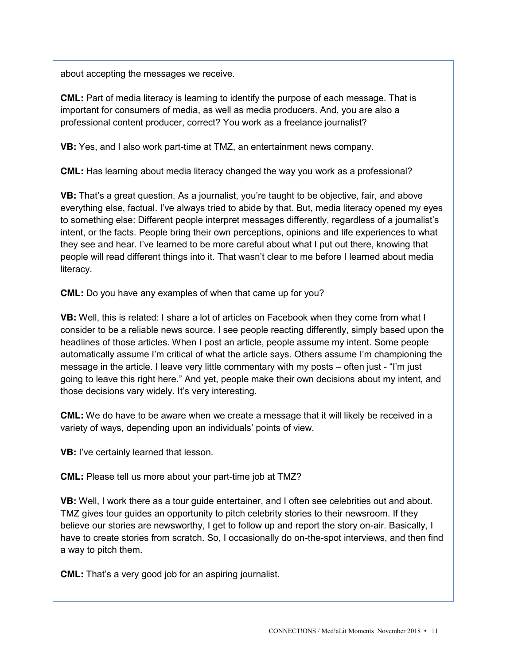about accepting the messages we receive.

**CML:** Part of media literacy is learning to identify the purpose of each message. That is important for consumers of media, as well as media producers. And, you are also a professional content producer, correct? You work as a freelance journalist?

**VB:** Yes, and I also work part-time at TMZ, an entertainment news company.

**CML:** Has learning about media literacy changed the way you work as a professional?

**VB:** That's a great question. As a journalist, you're taught to be objective, fair, and above everything else, factual. I've always tried to abide by that. But, media literacy opened my eyes to something else: Different people interpret messages differently, regardless of a journalist's intent, or the facts. People bring their own perceptions, opinions and life experiences to what they see and hear. I've learned to be more careful about what I put out there, knowing that people will read different things into it. That wasn't clear to me before I learned about media literacy.

**CML:** Do you have any examples of when that came up for you?

**VB:** Well, this is related: I share a lot of articles on Facebook when they come from what I consider to be a reliable news source. I see people reacting differently, simply based upon the headlines of those articles. When I post an article, people assume my intent. Some people automatically assume I'm critical of what the article says. Others assume I'm championing the message in the article. I leave very little commentary with my posts – often just - "I'm just going to leave this right here." And yet, people make their own decisions about my intent, and those decisions vary widely. It's very interesting.

**CML:** We do have to be aware when we create a message that it will likely be received in a variety of ways, depending upon an individuals' points of view.

**VB:** I've certainly learned that lesson.

**CML:** Please tell us more about your part-time job at TMZ?

**VB:** Well, I work there as a tour guide entertainer, and I often see celebrities out and about. TMZ gives tour guides an opportunity to pitch celebrity stories to their newsroom. If they believe our stories are newsworthy, I get to follow up and report the story on-air. Basically, I have to create stories from scratch. So, I occasionally do on-the-spot interviews, and then find a way to pitch them.

**CML:** That's a very good job for an aspiring journalist.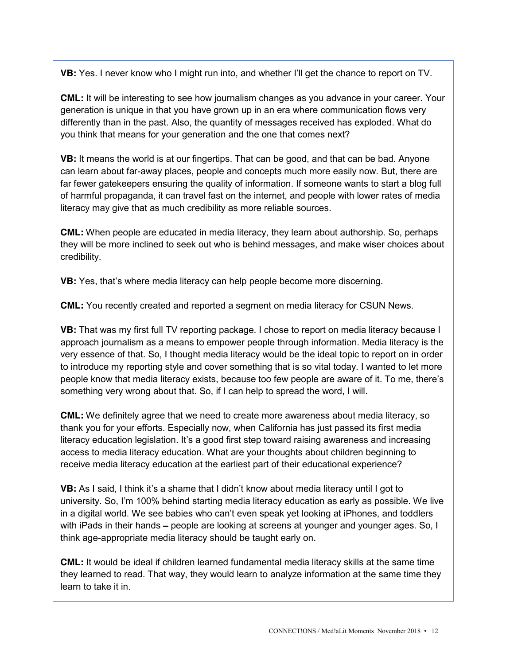**VB:** Yes. I never know who I might run into, and whether I'll get the chance to report on TV.

**CML:** It will be interesting to see how journalism changes as you advance in your career. Your generation is unique in that you have grown up in an era where communication flows very differently than in the past. Also, the quantity of messages received has exploded. What do you think that means for your generation and the one that comes next?

**VB:** It means the world is at our fingertips. That can be good, and that can be bad. Anyone can learn about far-away places, people and concepts much more easily now. But, there are far fewer gatekeepers ensuring the quality of information. If someone wants to start a blog full of harmful propaganda, it can travel fast on the internet, and people with lower rates of media literacy may give that as much credibility as more reliable sources.

**CML:** When people are educated in media literacy, they learn about authorship. So, perhaps they will be more inclined to seek out who is behind messages, and make wiser choices about credibility.

**VB:** Yes, that's where media literacy can help people become more discerning.

**CML:** You recently created and reported a segment on media literacy for CSUN News.

**VB:** That was my first full TV reporting package. I chose to report on media literacy because I approach journalism as a means to empower people through information. Media literacy is the very essence of that. So, I thought media literacy would be the ideal topic to report on in order to introduce my reporting style and cover something that is so vital today. I wanted to let more people know that media literacy exists, because too few people are aware of it. To me, there's something very wrong about that. So, if I can help to spread the word, I will.

**CML:** We definitely agree that we need to create more awareness about media literacy, so thank you for your efforts. Especially now, when California has just passed its first media literacy education legislation. It's a good first step toward raising awareness and increasing access to media literacy education. What are your thoughts about children beginning to receive media literacy education at the earliest part of their educational experience?

**VB:** As I said, I think it's a shame that I didn't know about media literacy until I got to university. So, I'm 100% behind starting media literacy education as early as possible. We live in a digital world. We see babies who can't even speak yet looking at iPhones, and toddlers with iPads in their hands – people are looking at screens at younger and younger ages. So, I think age-appropriate media literacy should be taught early on*.* 

**CML:** It would be ideal if children learned fundamental media literacy skills at the same time they learned to read. That way, they would learn to analyze information at the same time they learn to take it in.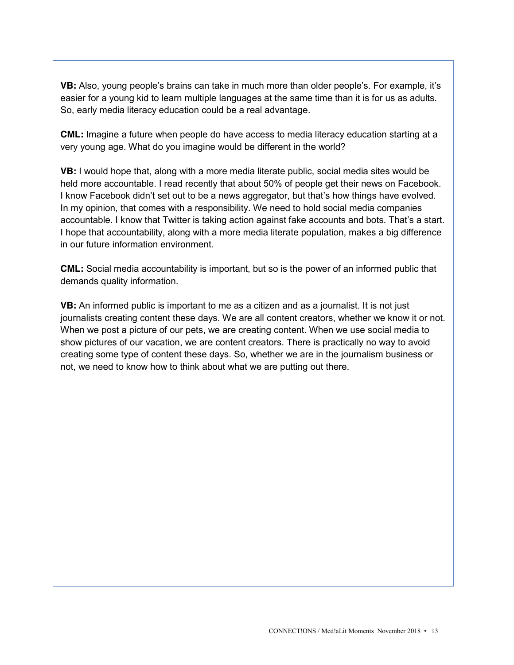**VB:** Also, young people's brains can take in much more than older people's. For example, it's easier for a young kid to learn multiple languages at the same time than it is for us as adults. So, early media literacy education could be a real advantage.

**CML:** Imagine a future when people do have access to media literacy education starting at a very young age. What do you imagine would be different in the world?

**VB:** I would hope that, along with a more media literate public, social media sites would be held more accountable. I read recently that about 50% of people get their news on Facebook. I know Facebook didn't set out to be a news aggregator, but that's how things have evolved. In my opinion, that comes with a responsibility. We need to hold social media companies accountable. I know that Twitter is taking action against fake accounts and bots. That's a start. I hope that accountability, along with a more media literate population, makes a big difference in our future information environment.

**CML:** Social media accountability is important, but so is the power of an informed public that demands quality information.

**VB:** An informed public is important to me as a citizen and as a journalist. It is not just journalists creating content these days. We are all content creators, whether we know it or not. When we post a picture of our pets, we are creating content. When we use social media to show pictures of our vacation, we are content creators. There is practically no way to avoid creating some type of content these days. So, whether we are in the journalism business or not, we need to know how to think about what we are putting out there.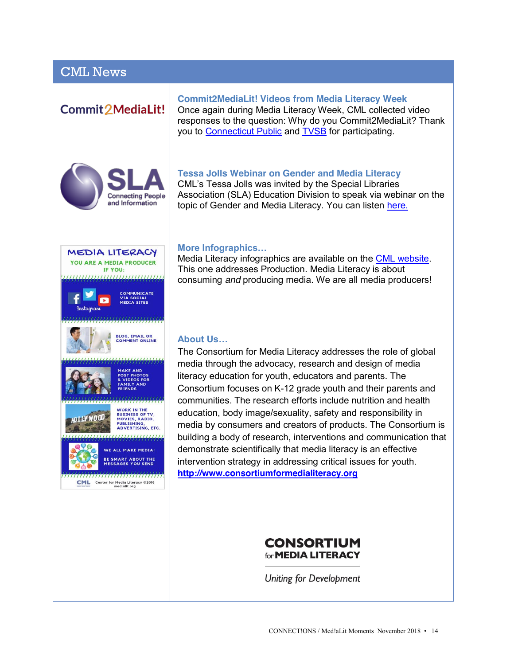# CML News

## Commit2MediaLit!



# MEDIA LITERACY YOU ARE A MEDIA PRODUCER **IF YOU:** ,,,,,,,,,,,,,,,,,,,, COMMUNICATE VIA SOCIAL<br>MEDIA SITES **BLOG, EMAIL OR<br>COMMENT ONLINE** WORK IN THE<br>BUSINESS OF TV,<br>MOVIES, RADIO,<br>PUBLISHING,<br>ADVERTISING, ETC.



 $111111111111111$ WE ALL MAKE MEDIA! BE SMART ABOUT THE<br>MESSAGES YOU SEND

7777777777777777777 CML Center for Media Literacy ©2018

#### **Commit2MediaLit! Videos from Media Literacy Week** Once again during Media Literacy Week, CML collected video responses to the question: Why do you Commit2MediaLit? Thank you to [Connecticut Public](https://www.youtube.com/watch?v=7zDuqUndM1s) and [TVSB](https://www.youtube.com/watch?v=AiJT1P5u6ZY&t=36s) for participating.

#### **Tessa Jolls Webinar on Gender and Media Literacy** CML's Tessa Jolls was invited by the Special Libraries Association (SLA) Education Division to speak via webinar on the

topic of Gender and Media Literacy. You can listen [here.](http://education.sla1.org/media-literacy-and-gender-webinar/)

#### **More Infographics…**

Media Literacy infographics are available on the [CML website.](http://www.medialit.org/announcements) This one addresses Production. Media Literacy is about consuming *and* producing media. We are all media producers!

#### **About Us…**

The Consortium for Media Literacy addresses the role of global media through the advocacy, research and design of media literacy education for youth, educators and parents. The Consortium focuses on K-12 grade youth and their parents and communities. The research efforts include nutrition and health education, body image/sexuality, safety and responsibility in media by consumers and creators of products. The Consortium is building a body of research, interventions and communication that demonstrate scientifically that media literacy is an effective intervention strategy in addressing critical issues for youth. **[http://www.consortiumformedialiteracy.org](http://www.consortiumformedialiteracy.org/)**

#### **CONSORTIUM** for **MEDIA LITERACY**

Uniting for Development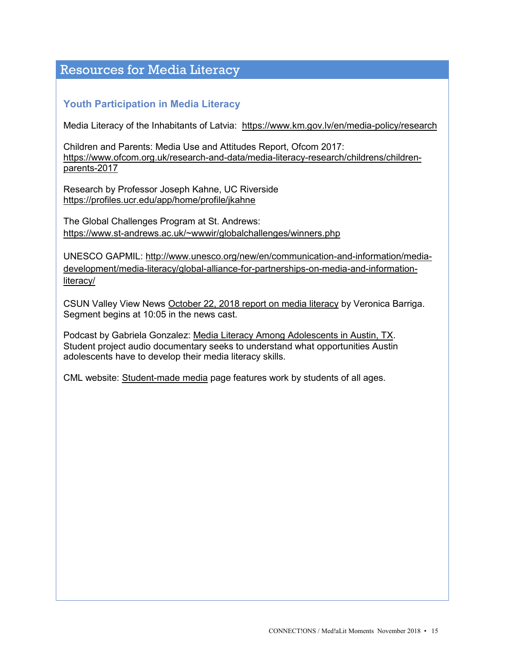# Resources for Media Literacy

#### **Youth Participation in Media Literacy**

Media Literacy of the Inhabitants of Latvia: <https://www.km.gov.lv/en/media-policy/research>

Children and Parents: Media Use and Attitudes Report, Ofcom 2017: [https://www.ofcom.org.uk/research-and-data/media-literacy-research/childrens/children](https://www.ofcom.org.uk/research-and-data/media-literacy-research/childrens/children-parents-2017)[parents-2017](https://www.ofcom.org.uk/research-and-data/media-literacy-research/childrens/children-parents-2017)

Research by Professor Joseph Kahne, UC Riverside <https://profiles.ucr.edu/app/home/profile/jkahne>

The Global Challenges Program at St. Andrews: <https://www.st-andrews.ac.uk/~wwwir/globalchallenges/winners.php>

UNESCO GAPMIL: [http://www.unesco.org/new/en/communication-and-information/media](http://www.unesco.org/new/en/communication-and-information/media-development/media-literacy/global-alliance-for-partnerships-on-media-and-information-literacy/)[development/media-literacy/global-alliance-for-partnerships-on-media-and-information](http://www.unesco.org/new/en/communication-and-information/media-development/media-literacy/global-alliance-for-partnerships-on-media-and-information-literacy/)[literacy/](http://www.unesco.org/new/en/communication-and-information/media-development/media-literacy/global-alliance-for-partnerships-on-media-and-information-literacy/)

CSUN Valley View News October 22, 2018 [report on media literacy](https://www.youtube.com/watch?v=v4f7Um4EXyI&feature=youtu.be) by Veronica Barriga. Segment begins at 10:05 in the news cast.

Podcast by Gabriela Gonzalez: [Media Literacy Among Adolescents in Austin, TX.](https://www.spreaker.com/user/10563563/media-literacy-among-adolescents-in-aust) Student project audio documentary seeks to understand what opportunities Austin adolescents have to develop their media literacy skills.

CML website: [Student-made media](http://www.medialit.org/student-made-media) page features work by students of all ages.